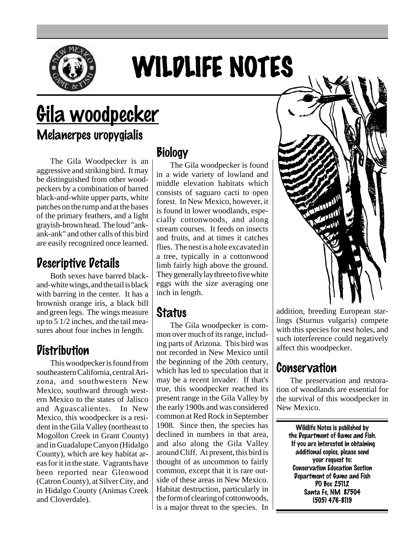

# WILDLIFE NOTES

# <u>Gila woodpecker</u> Melanerpes uropygialis

The Gila Woodpecker is an aggressive and striking bird. It may be distinguished from other woodpeckers by a combination of barred black-and-white upper parts, white patches on the rump and at the bases of the primary feathers, and a light grayish-brown head. The loud "ankank-ank" and other calls of this bird are easily recognized once learned.

# Descriptive Details

Both sexes have barred blackand-white wings, and the tail is black with barring in the center. It has a brownish orange iris, a black bill and green legs. The wings measure up to 5 1/2 inches, and the tail measures about four inches in length.

#### **Distribution**

This woodpecker is found from southeastern California, central Arizona, and southwestern New Mexico, southward through western Mexico to the states of Jalisco and Aguascalientes. In New Mexico, this woodpecker is a resident in the Gila Valley (northeast to Mogollon Creek in Grant County) and in Guadalupe Canyon (Hidalgo County), which are key habitat areas for it in the state. Vagrants have been reported near Glenwood (Catron County), at Silver City, and in Hidalgo County (Animas Creek and Cloverdale).

# **Biology**

The Gila woodpecker is found in a wide variety of lowland and middle elevation habitats which consists of saguaro cacti to open forest. In New Mexico, however, it is found in lower woodlands, especially cottonwoods, and along stream courses. It feeds on insects and fruits, and at times it catches flies. The nest is a hole excavated in a tree, typically in a cottonwood limb fairly high above the ground. They generally lay three to five white eggs with the size averaging one inch in length.

# **Status**

The Gila woodpecker is common over much of its range, including parts of Arizona. This bird was not recorded in New Mexico until the beginning of the 20th century, which has led to speculation that it may be a recent invader. If that's true, this woodpecker reached its present range in the Gila Valley by the early 1900s and was considered common at Red Rock in September 1908. Since then, the species has declined in numbers in that area, and also along the Gila Valley around Cliff. At present, this bird is thought of as uncommon to fairly common, except that it is rare outside of these areas in New Mexico. Habitat destruction, particularly in the form of clearing of cottonwoods, is a major threat to the species. In



addition, breeding European starlings (Sturnus vulgaris) compete with this species for nest holes, and such interference could negatively affect this woodpecker.

# Conservation

The preservation and restoration of woodlands are essential for the survival of this woodpecker in New Mexico.

> Wildlife Notes is published by the Department of Game and Fish. If you are interested in obtaining additional copies, please send your request to: Conservation Education Section Department of Game and Fish PO Box 25112 Santa Fe, NM 87504 (505) 476-8119